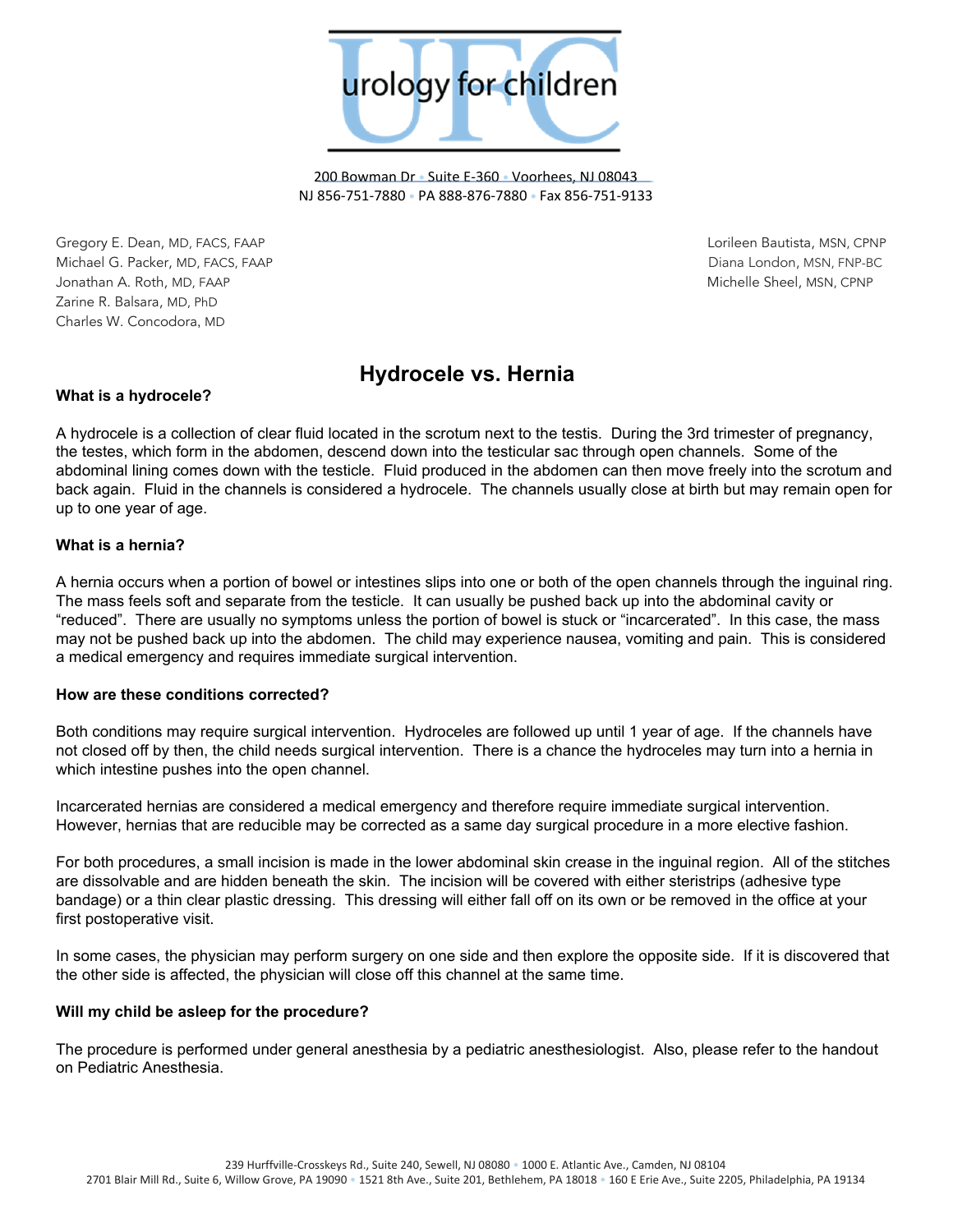

200 Bowman Dr • Suite E-360 • Voorhees, NJ 08043 NJ 856-751-7880 • PA 888-876-7880 • Fax 856-751-9133

Gregory E. Dean, MD, FACS, FAAP Lorileen Bautista, MSN, CPNP Michael G. Packer, MD, FACS, FAAP Diana London, MSN, FNP-BC Jonathan A. Roth, MD, FAAP Michelle Sheel, MSN, CPNP Zarine R. Balsara, MD, PhD Charles W. Concodora, MD

# **Hydrocele vs. Hernia**

## **What is a hydrocele?**

A hydrocele is a collection of clear fluid located in the scrotum next to the testis. During the 3rd trimester of pregnancy, the testes, which form in the abdomen, descend down into the testicular sac through open channels. Some of the abdominal lining comes down with the testicle. Fluid produced in the abdomen can then move freely into the scrotum and back again. Fluid in the channels is considered a hydrocele. The channels usually close at birth but may remain open for up to one year of age.

### **What is a hernia?**

A hernia occurs when a portion of bowel or intestines slips into one or both of the open channels through the inguinal ring. The mass feels soft and separate from the testicle. It can usually be pushed back up into the abdominal cavity or "reduced". There are usually no symptoms unless the portion of bowel is stuck or "incarcerated". In this case, the mass may not be pushed back up into the abdomen. The child may experience nausea, vomiting and pain. This is considered a medical emergency and requires immediate surgical intervention.

### **How are these conditions corrected?**

Both conditions may require surgical intervention. Hydroceles are followed up until 1 year of age. If the channels have not closed off by then, the child needs surgical intervention. There is a chance the hydroceles may turn into a hernia in which intestine pushes into the open channel.

Incarcerated hernias are considered a medical emergency and therefore require immediate surgical intervention. However, hernias that are reducible may be corrected as a same day surgical procedure in a more elective fashion.

For both procedures, a small incision is made in the lower abdominal skin crease in the inguinal region. All of the stitches are dissolvable and are hidden beneath the skin. The incision will be covered with either steristrips (adhesive type bandage) or a thin clear plastic dressing. This dressing will either fall off on its own or be removed in the office at your first postoperative visit.

In some cases, the physician may perform surgery on one side and then explore the opposite side. If it is discovered that the other side is affected, the physician will close off this channel at the same time.

### **Will my child be asleep for the procedure?**

The procedure is performed under general anesthesia by a pediatric anesthesiologist. Also, please refer to the handout on Pediatric Anesthesia.